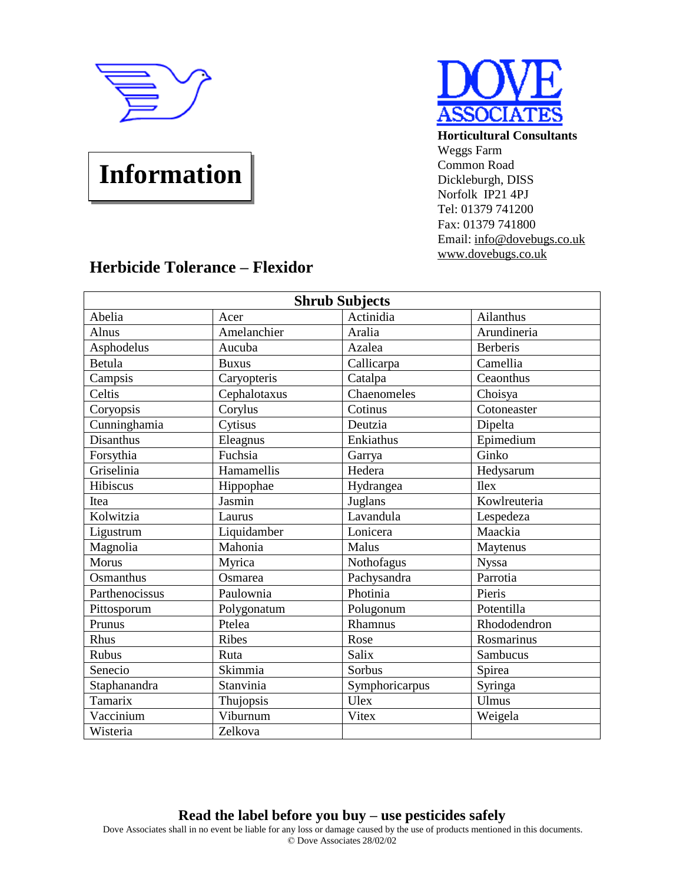

## **Information**



**Horticultural Consultants** Weggs Farm Common Road Dickleburgh, DISS Norfolk IP21 4PJ Tel: 01379 741200 Fax: 01379 741800 Email: [info@dovebugs.co.uk](mailto:info@dovebugs.co.uk) [www.dovebugs.co.uk](http://www.dovebugs.co.uk)

## **Herbicide Tolerance – Flexidor**

| <b>Shrub Subjects</b> |              |                         |                 |  |  |
|-----------------------|--------------|-------------------------|-----------------|--|--|
| Abelia                | Acer         | Actinidia               | Ailanthus       |  |  |
| Alnus                 | Amelanchier  | Aralia                  | Arundineria     |  |  |
| Asphodelus            | Aucuba       | Azalea                  | <b>Berberis</b> |  |  |
| Betula                | <b>Buxus</b> | Callicarpa              | Camellia        |  |  |
| Campsis               | Caryopteris  | Catalpa                 | Ceaonthus       |  |  |
| Celtis                | Cephalotaxus | Chaenomeles             | Choisya         |  |  |
| Coryopsis             | Corylus      | Cotinus                 | Cotoneaster     |  |  |
| Cunninghamia          | Cytisus      | Deutzia                 | Dipelta         |  |  |
| <b>Disanthus</b>      | Eleagnus     | Enkiathus               | Epimedium       |  |  |
| Forsythia             | Fuchsia      | Garrya                  | Ginko           |  |  |
| Griselinia            | Hamamellis   | Hedera                  | Hedysarum       |  |  |
| Hibiscus              | Hippophae    | Hydrangea               | <b>Ilex</b>     |  |  |
| Itea                  | Jasmin       | Juglans                 | Kowlreuteria    |  |  |
| Kolwitzia             | Laurus       | $\overline{L}$ avandula | Lespedeza       |  |  |
| Ligustrum             | Liquidamber  | Lonicera                | Maackia         |  |  |
| Magnolia              | Mahonia      | Malus                   | Maytenus        |  |  |
| Morus                 | Myrica       | Nothofagus              | <b>Nyssa</b>    |  |  |
| Osmanthus             | Osmarea      | Pachysandra             | Parrotia        |  |  |
| Parthenocissus        | Paulownia    | Photinia                | Pieris          |  |  |
| Pittosporum           | Polygonatum  | Polugonum               | Potentilla      |  |  |
| Prunus                | Ptelea       | Rhamnus                 | Rhododendron    |  |  |
| Rhus                  | Ribes        | Rose                    | Rosmarinus      |  |  |
| Rubus                 | Ruta         | Salix                   | Sambucus        |  |  |
| Senecio               | Skimmia      | Sorbus                  | Spirea          |  |  |
| Staphanandra          | Stanvinia    | Symphoricarpus          | Syringa         |  |  |
| Tamarix               | Thujopsis    | Ulex                    | <b>Ulmus</b>    |  |  |
| Vaccinium             | Viburnum     | Vitex                   | Weigela         |  |  |
| Wisteria              | Zelkova      |                         |                 |  |  |

## **Read the label before you buy – use pesticides safely**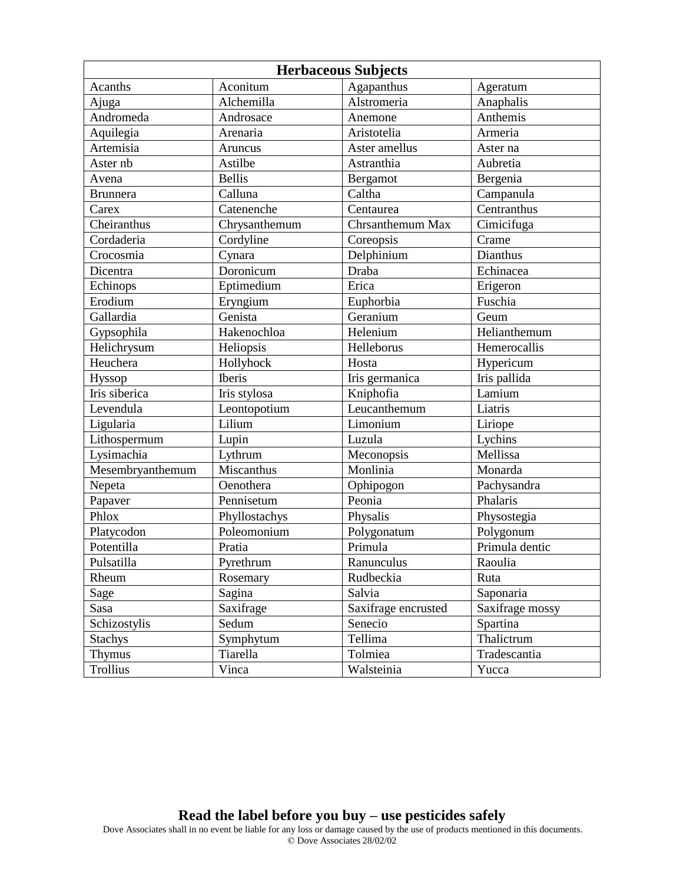| <b>Herbaceous Subjects</b> |               |                     |                 |  |
|----------------------------|---------------|---------------------|-----------------|--|
| Acanths                    | Aconitum      | Agapanthus          | Ageratum        |  |
| Ajuga                      | Alchemilla    | Alstromeria         | Anaphalis       |  |
| Andromeda                  | Androsace     | Anemone             | Anthemis        |  |
| Aquilegia                  | Arenaria      | Aristotelia         | Armeria         |  |
| Artemisia                  | Aruncus       | Aster amellus       | Aster na        |  |
| Aster nb                   | Astilbe       | Astranthia          | Aubretia        |  |
| Avena                      | <b>Bellis</b> | Bergamot            | Bergenia        |  |
| <b>Brunnera</b>            | Calluna       | Caltha              | Campanula       |  |
| Carex                      | Catenenche    | Centaurea           | Centranthus     |  |
| Cheiranthus                | Chrysanthemum | Chrsanthemum Max    | Cimicifuga      |  |
| Cordaderia                 | Cordyline     | Coreopsis           | Crame           |  |
| Crocosmia                  | Cynara        | Delphinium          | Dianthus        |  |
| Dicentra                   | Doronicum     | Draba               | Echinacea       |  |
| Echinops                   | Eptimedium    | Erica               | Erigeron        |  |
| Erodium                    | Eryngium      | Euphorbia           | Fuschia         |  |
| Gallardia                  | Genista       | Geranium            | Geum            |  |
| Gypsophila                 | Hakenochloa   | Helenium            | Helianthemum    |  |
| Helichrysum                | Heliopsis     | Helleborus          | Hemerocallis    |  |
| Heuchera                   | Hollyhock     | Hosta               | Hypericum       |  |
| Hyssop                     | Iberis        | Iris germanica      | Iris pallida    |  |
| Iris siberica              | Iris stylosa  | Kniphofia           | Lamium          |  |
| Levendula                  | Leontopotium  | Leucanthemum        | Liatris         |  |
| Ligularia                  | Lilium        | Limonium            | Liriope         |  |
| Lithospermum               | Lupin         | Luzula              | Lychins         |  |
| Lysimachia                 | Lythrum       | Meconopsis          | Mellissa        |  |
| Mesembryanthemum           | Miscanthus    | Monlinia            | Monarda         |  |
| Nepeta                     | Oenothera     | Ophipogon           | Pachysandra     |  |
| Papaver                    | Pennisetum    | Peonia              | Phalaris        |  |
| Phlox                      | Phyllostachys | Physalis            | Physostegia     |  |
| Platycodon                 | Poleomonium   | Polygonatum         | Polygonum       |  |
| Potentilla                 | Pratia        | Primula             | Primula dentic  |  |
| Pulsatilla                 | Pyrethrum     | Ranunculus          | Raoulia         |  |
| Rheum                      | Rosemary      | Rudbeckia           | Ruta            |  |
| Sage                       | Sagina        | Salvia              | Saponaria       |  |
| Sasa                       | Saxifrage     | Saxifrage encrusted | Saxifrage mossy |  |
| Schizostylis               | Sedum         | Senecio             | Spartina        |  |
| <b>Stachys</b>             | Symphytum     | Tellima             | Thalictrum      |  |
| <b>Thymus</b>              | Tiarella      | Tolmiea             | Tradescantia    |  |
| Trollius                   | Vinca         | Walsteinia          | Yucca           |  |